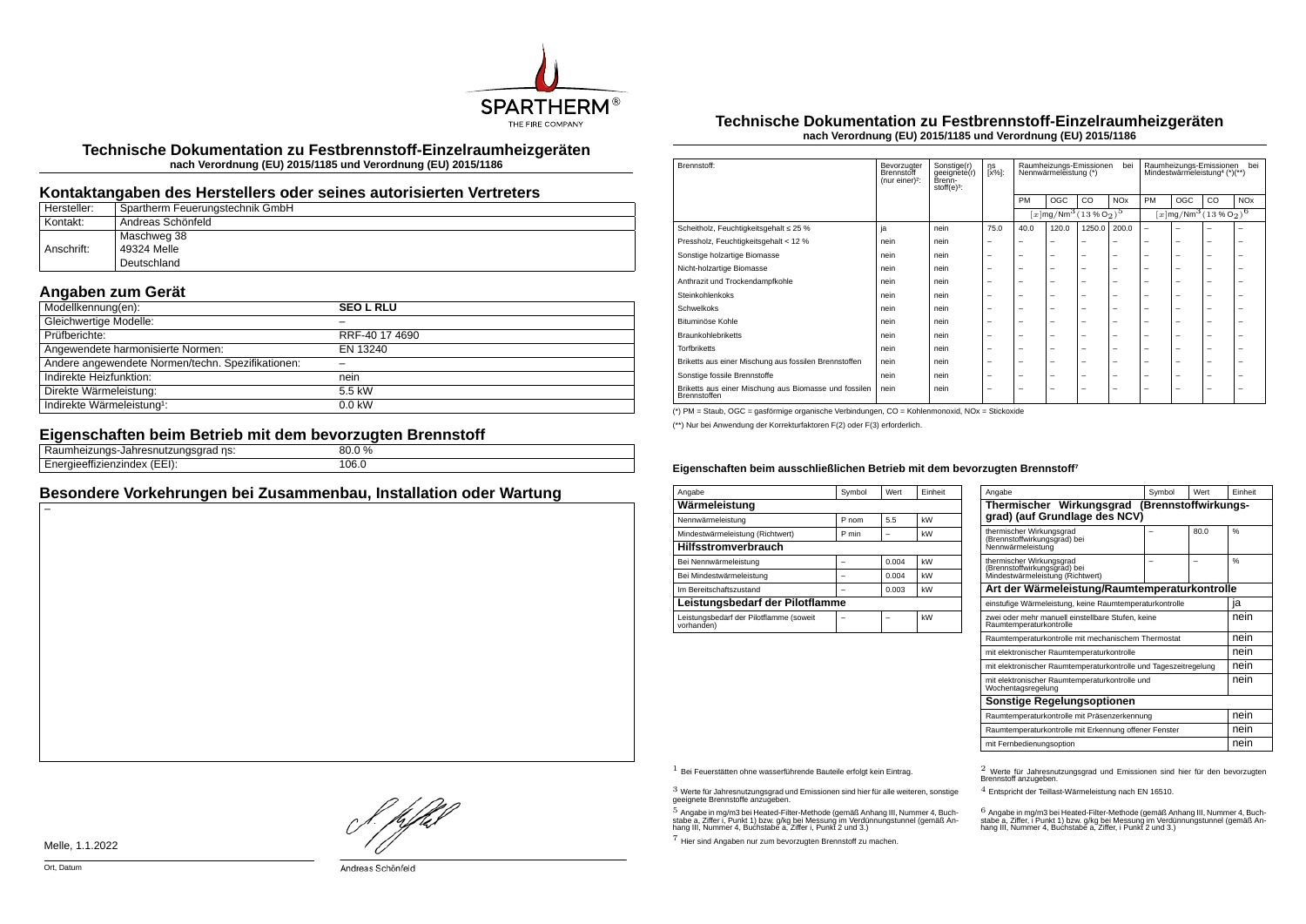

**Technische Dokumentation zu Festbrennstoff-Einzelraumheizgeräten nach Verordnung (EU) 2015/1185 und Verordnung (EU) 2015/1186**

### **Kontaktangaben des Herstellers oder seines autorisierten Vertreters**

| Hersteller: | Spartherm Feuerungstechnik GmbH |
|-------------|---------------------------------|
| Kontakt:    | Andreas Schönfeld               |
|             | Maschweg 38                     |
| Anschrift:  | 49324 Melle                     |
|             | Deutschland                     |

# **Angaben zum Gerät**

| Modellkennung(en):                                | <b>SEO L RLU</b> |
|---------------------------------------------------|------------------|
| Gleichwertige Modelle:                            |                  |
| Prüfberichte:                                     | RRF-40 17 4690   |
| Angewendete harmonisierte Normen:                 | EN 13240         |
| Andere angewendete Normen/techn. Spezifikationen: |                  |
| Indirekte Heizfunktion:                           | nein             |
| Direkte Wärmeleistung:                            | 5.5 kW           |
| Indirekte Wärmeleistung <sup>1</sup> :            | $0.0$ kW         |

#### **Eigenschaften beim Betrieb mit dem bevorzugten Brennstoff**

| .<br>ns:<br>411 IOP<br>. annes<br>iau<br>—u⊓usu⊷<br>.<br>. | $0\%$<br>nn<br>ou.u |
|------------------------------------------------------------|---------------------|
| <br>TIZIHUEX<br>.                                          | 106.0               |

## **Besondere Vorkehrungen bei Zusammenbau, Installation oder Wartung**

#### **Technische Dokumentation zu Festbrennstoff-Einzelraumheizgeräten nach Verordnung (EU) 2015/1185 und Verordnung (EU) 2015/1186**

| Brennstoff:                                                           | Bevorzugter<br>Brennstoff<br>(nur einer) <sup>2</sup> : | Sonstige(r)<br>geeignete(r)<br>Brenn-<br>stoff $(e)^3$ : | ηs<br>[x%]: | Raumheizungs-Emissionen<br>bei<br>Nennwärmeleistung (*) |                                                                   |                          | Raumheizungs-Emissionen<br>bei<br>Mindestwärmeleistung <sup>4</sup> (*)(**) |                                               |     |    |                       |
|-----------------------------------------------------------------------|---------------------------------------------------------|----------------------------------------------------------|-------------|---------------------------------------------------------|-------------------------------------------------------------------|--------------------------|-----------------------------------------------------------------------------|-----------------------------------------------|-----|----|-----------------------|
|                                                                       |                                                         |                                                          |             | PM                                                      | OGC                                                               | CO.                      | <b>NO<sub>x</sub></b>                                                       | PM                                            | OGC | CO | <b>NO<sub>x</sub></b> |
|                                                                       |                                                         |                                                          |             |                                                         | $[x \, \text{mg}/\text{Nm}^3 \, (13 \, \text{%} \, \text{O}_2)^5$ |                          |                                                                             | $[x \text{mg}/\text{Nm}^3 \text{ (13 %O2)}^6$ |     |    |                       |
| Scheitholz, Feuchtigkeitsgehalt ≤ 25 %                                | ja                                                      | nein                                                     | 75.0        | 40.0                                                    | 120.0                                                             | 1250.0                   | 200.0                                                                       | $\overline{\phantom{0}}$                      | ۰   |    |                       |
| Pressholz, Feuchtigkeitsgehalt < 12 %                                 | nein                                                    | nein                                                     | -           |                                                         | -                                                                 | -                        |                                                                             |                                               | -   | -  | -                     |
| Sonstige holzartige Biomasse                                          | nein                                                    | nein                                                     | -           | -                                                       | $\overline{\phantom{a}}$                                          | $\overline{\phantom{0}}$ | -                                                                           | -                                             | -   | -  | -                     |
| Nicht-holzartige Biomasse                                             | nein                                                    | nein                                                     | -           | -                                                       | -                                                                 | $\overline{\phantom{0}}$ | -                                                                           | -                                             | -   | -  | -                     |
| Anthrazit und Trockendampfkohle                                       | nein                                                    | nein                                                     | -           | -                                                       | $\overline{\phantom{a}}$                                          | $\overline{\phantom{0}}$ | -                                                                           | -                                             | -   | -  | -                     |
| Steinkohlenkoks                                                       | nein                                                    | nein                                                     | -           | -                                                       | $\overline{\phantom{a}}$                                          | $\overline{\phantom{0}}$ | -                                                                           | -                                             | -   | -  | -                     |
| Schwelkoks                                                            | nein                                                    | nein                                                     | -           | -                                                       | -                                                                 | -                        | -                                                                           | -                                             | -   | -  | ۰                     |
| Bituminöse Kohle                                                      | nein                                                    | nein                                                     | -           | -                                                       | -                                                                 | -                        | -                                                                           | -                                             | -   | -  | -                     |
| <b>Braunkohlebriketts</b>                                             | nein                                                    | nein                                                     | -           | -                                                       | $\overline{\phantom{a}}$                                          | $\overline{\phantom{0}}$ | -                                                                           | -                                             | -   | -  | -                     |
| <b>Torfbriketts</b>                                                   | nein                                                    | nein                                                     | -           | -                                                       | $\overline{\phantom{a}}$                                          | $\overline{\phantom{0}}$ | -                                                                           | -                                             | -   | -  | -                     |
| Briketts aus einer Mischung aus fossilen Brennstoffen                 | nein                                                    | nein                                                     | -           | -                                                       | $\overline{\phantom{a}}$                                          | $\overline{\phantom{0}}$ | -                                                                           | -                                             | -   | -  | -                     |
| Sonstige fossile Brennstoffe                                          | nein                                                    | nein                                                     | -           | -                                                       | $\overline{\phantom{a}}$                                          | $\overline{\phantom{0}}$ | -                                                                           | -                                             | -   | -  | -                     |
| Briketts aus einer Mischung aus Biomasse und fossilen<br>Brennstoffen | nein                                                    | nein                                                     | -           | -                                                       | -                                                                 | -                        | -                                                                           | -                                             | -   | -  | -                     |

(\*) PM = Staub, OGC = gasförmige organische Verbindungen, CO = Kohlenmonoxid, NOx = Stickoxide

(\*\*) Nur bei Anwendung der Korrekturfaktoren F(2) oder F(3) erforderlich.

#### **Eigenschaften beim ausschließlichen Betrieb mit dem bevorzugten Brennstoff⁷**

| Angabe                                                | Symbol | Wert  | Einheit |  |  |  |  |
|-------------------------------------------------------|--------|-------|---------|--|--|--|--|
| Wärmeleistung                                         |        |       |         |  |  |  |  |
| Nennwärmeleistung                                     | P nom  | 5.5   | kW      |  |  |  |  |
| Mindestwärmeleistung (Richtwert)                      | P min  |       | kW      |  |  |  |  |
| <b>Hilfsstromverbrauch</b>                            |        |       |         |  |  |  |  |
| Bei Nennwärmeleistung                                 |        | 0.004 | kW      |  |  |  |  |
| Bei Mindestwärmeleistung                              |        | 0.004 | kW      |  |  |  |  |
| Im Bereitschaftszustand                               |        | 0.003 | kW      |  |  |  |  |
| Leistungsbedarf der Pilotflamme                       |        |       |         |  |  |  |  |
| Leistungsbedarf der Pilotflamme (soweit<br>vorhanden) |        |       | kW      |  |  |  |  |

| Angabe                                                                                       | Symbol | Wert | Finheit |  |  |  |
|----------------------------------------------------------------------------------------------|--------|------|---------|--|--|--|
| Thermischer Wirkungsgrad (Brennstoffwirkungs-<br>grad) (auf Grundlage des NCV)               |        |      |         |  |  |  |
| thermischer Wirkungsgrad<br>(Brennstoffwirkungsgrad) bei<br>Nennwärmeleistung                |        | 80.0 | %       |  |  |  |
| thermischer Wirkungsgrad<br>(Brennstoffwirkungsgrad) bei<br>Mindestwärmeleistung (Richtwert) |        |      | %       |  |  |  |
| Art der Wärmeleistung/Raumtemperaturkontrolle                                                |        |      |         |  |  |  |
| einstufige Wärmeleistung, keine Raumtemperaturkontrolle                                      |        |      |         |  |  |  |
| zwei oder mehr manuell einstellbare Stufen, keine<br>Raumtemperaturkontrolle                 |        |      |         |  |  |  |
| Raumtemperaturkontrolle mit mechanischem Thermostat                                          |        |      | nein    |  |  |  |
| mit elektronischer Raumtemperaturkontrolle                                                   |        |      | nein    |  |  |  |
| mit elektronischer Raumtemperaturkontrolle und Tageszeitregelung                             |        |      | nein    |  |  |  |
| mit elektronischer Raumtemperaturkontrolle und<br>Wochentagsregelung                         |        |      |         |  |  |  |
| Sonstige Regelungsoptionen                                                                   |        |      |         |  |  |  |
| Raumtemperaturkontrolle mit Präsenzerkennung                                                 | nein   |      |         |  |  |  |
| Raumtemperaturkontrolle mit Erkennung offener Fenster                                        |        |      |         |  |  |  |
| mit Fernbedienungsoption                                                                     |        |      | nein    |  |  |  |

 $3$  Werte für Jahresnutzungsgrad und Emissionen sind hier für alle weiteren, sonstige geeignete Brennstoffe anzugeben.

 $5$  Angabe in mg/m3 bei Heated-Filter-Methode (gemäß Anhang III, Nummer 4, Buchstabe a, Ziffer i, Punkt 1) bzw. g/kg bei Messung im Verdünnungstunnel (gemäß An-hang III, Nummer 4, Buchstabe a, Ziffer i, Punkt 2 und 3.)

7 Hier sind Angaben nur zum bevorzugten Brennstoff zu machen.

1 Bei Feuerstätten ohne wasserführende Bauteile erfolgt kein Eintrag. 2 Werte für Jahresnutzungsgrad und Emissionen sind hier für den bevorzugten Brennstoff anzugeben.

4 Entspricht der Teillast-Wärmeleistung nach EN 16510.

.<br>stabe a, Ziffer, i Punkt 1) bzw. g/kg bei Messung im Verdünnungstunnel (gemäß An-<br>hang III, Nummer 4, Buchstabe a, Ziffer, i Punkt 2 und 3.)<br>hang III, Nummer 4, Buchstabe a, Ziffer, i Punkt 2 und 3.)

Melle, 1.1.2022

f. pfbd

Andreas Schönfeld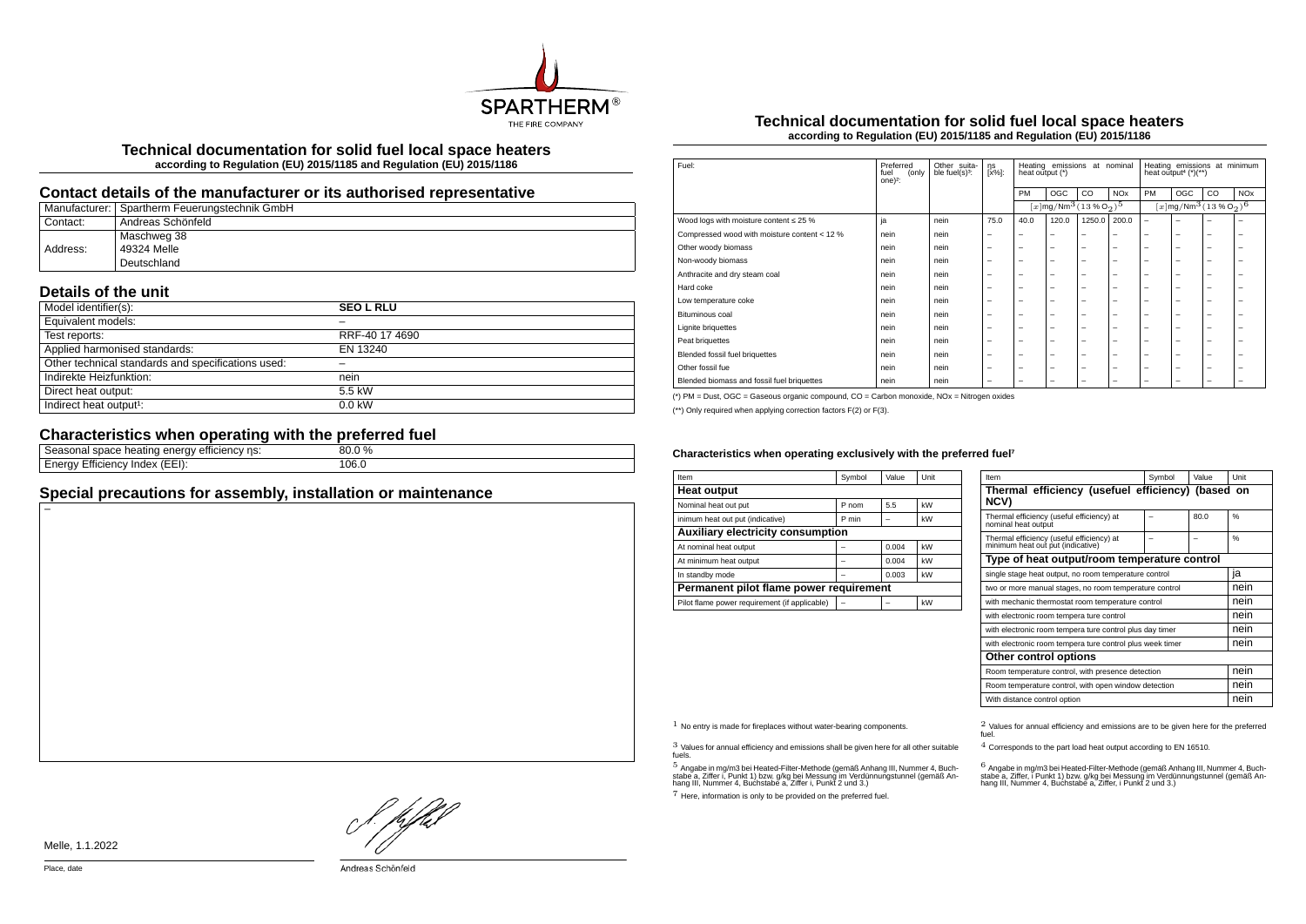

**Technical documentation for solid fuel local space heaters according to Regulation (EU) 2015/1185 and Regulation (EU) 2015/1186**

#### **Contact details of the manufacturer or its authorised representative**

|          | Manufacturer: Spartherm Feuerungstechnik GmbH |
|----------|-----------------------------------------------|
| Contact: | Andreas Schönfeld                             |
|          | Maschweg 38                                   |
| Address: | 49324 Melle                                   |
|          | Deutschland                                   |

# **Details of the unit**

| Model identifier(s):                               | <b>SEO L RLU</b> |
|----------------------------------------------------|------------------|
| Equivalent models:                                 |                  |
| Test reports:                                      | RRF-40 17 4690   |
| Applied harmonised standards:                      | EN 13240         |
| Other technical standards and specifications used: |                  |
| Indirekte Heizfunktion:                            | nein             |
| Direct heat output:                                | 5.5 kW           |
| Indirect heat output <sup>1</sup> :                | $0.0$ kW         |

# **Characteristics when operating with the preferred fuel**

| emcienc<br>.<br>$\mathbf{H}$<br>115.<br>e neating<br>suate | $\sim 0/2$<br>nu |
|------------------------------------------------------------|------------------|
| $\sim$<br>(EEI):<br>∠mcienc∨<br>−neruv ∟<br>пиех"          | 106.0<br>.       |
|                                                            |                  |

# **Special precautions for assembly, installation or maintenance**

#### **Technical documentation for solid fuel local space heaters according to Regulation (EU) 2015/1185 and Regulation (EU) 2015/1186**

| Fuel:                                        | Preferred<br>(only<br>fuel<br>one $)^2$ : | Other suita-<br>ble fuel(s) <sup>3</sup> : | ηs<br>[x%]:              | Heating emissions<br>at nominal<br>heat output (*) |                                                   |                          | Heating emissions at minimum<br>heat output <sup>4</sup> $(*)$ (**) |                          |                                                              |    |                       |
|----------------------------------------------|-------------------------------------------|--------------------------------------------|--------------------------|----------------------------------------------------|---------------------------------------------------|--------------------------|---------------------------------------------------------------------|--------------------------|--------------------------------------------------------------|----|-----------------------|
|                                              |                                           |                                            |                          | PM                                                 | OGC                                               | CO                       | <b>NO<sub>x</sub></b>                                               | PM                       | OGC                                                          | CO | <b>NO<sub>x</sub></b> |
|                                              |                                           |                                            |                          |                                                    | $[x \, \text{mg}/\text{Nm}^3 \, \text{(13%02)}^5$ |                          |                                                                     |                          | $[x]$ mg/Nm <sup>3</sup> (13 % O <sub>2</sub> ) <sup>6</sup> |    |                       |
| Wood logs with moisture content $\leq 25$ %  | ja                                        | nein                                       | 75.0                     | 40.0                                               | 120.0                                             | 1250.0                   | 200.0                                                               | $\overline{\phantom{m}}$ | -                                                            | -  | -                     |
| Compressed wood with moisture content < 12 % | nein                                      | nein                                       |                          | -                                                  | $\overline{\phantom{0}}$                          | $\overline{\phantom{0}}$ | $\overline{\phantom{0}}$                                            | $\overline{\phantom{0}}$ | -                                                            | -  | -                     |
| Other woody biomass                          | nein                                      | nein                                       | -                        | -                                                  | -                                                 | $\overline{\phantom{0}}$ | $\overline{\phantom{0}}$                                            | $\overline{\phantom{0}}$ | -                                                            | -  | -                     |
| Non-woody biomass                            | nein                                      | nein                                       | -                        | -                                                  | -                                                 | $\overline{\phantom{0}}$ | $\overline{\phantom{0}}$                                            | $\overline{\phantom{0}}$ | -                                                            | -  | -                     |
| Anthracite and dry steam coal                | nein                                      | nein                                       |                          | $\overline{\phantom{0}}$                           | $\overline{\phantom{0}}$                          | $\overline{\phantom{m}}$ | $\overline{\phantom{m}}$                                            | $\overline{\phantom{0}}$ | -                                                            | -  | -                     |
| Hard coke                                    | nein                                      | nein                                       | -                        | -                                                  | -                                                 | -                        | $\overline{\phantom{0}}$                                            | $\overline{\phantom{0}}$ | -                                                            | -  | ۰                     |
| Low temperature coke                         | nein                                      | nein                                       | -                        | -                                                  | -                                                 | -                        | $\overline{\phantom{0}}$                                            | $\overline{\phantom{0}}$ | -                                                            | -  | -                     |
| Bituminous coal                              | nein                                      | nein                                       | -                        | -                                                  | -                                                 | -                        | $\overline{\phantom{0}}$                                            | $\overline{\phantom{0}}$ | -                                                            | -  | -                     |
| <b>Lignite briquettes</b>                    | nein                                      | nein                                       | -                        | -                                                  | -                                                 | -                        | $\overline{\phantom{0}}$                                            | $\overline{\phantom{0}}$ | -                                                            | -  | -                     |
| Peat briquettes                              | nein                                      | nein                                       | -                        | -                                                  | -                                                 | -                        | $\overline{\phantom{0}}$                                            | $\overline{\phantom{0}}$ | -                                                            | -  | -                     |
| Blended fossil fuel briquettes               | nein                                      | nein                                       |                          | -                                                  | $\overline{\phantom{0}}$                          | $\overline{\phantom{m}}$ | $\overline{\phantom{m}}$                                            | $\overline{\phantom{0}}$ | -                                                            | -  | -                     |
| Other fossil fue                             | nein                                      | nein                                       | -                        | -                                                  | -                                                 | $\overline{\phantom{0}}$ | $\overline{\phantom{0}}$                                            | $\overline{\phantom{0}}$ | -                                                            | -  | -                     |
| Blended biomass and fossil fuel briquettes   | nein                                      | nein                                       | $\overline{\phantom{0}}$ | -                                                  | -                                                 | -                        | $\overline{\phantom{0}}$                                            | $\overline{\phantom{0}}$ | -                                                            | -  | -                     |

(\*) PM = Dust, OGC = Gaseous organic compound, CO = Carbon monoxide, NOx = Nitrogen oxides

(\*\*) Only required when applying correction factors F(2) or F(3).

#### Characteristics when operating exclusively with the preferred fuel<sup>7</sup>

| Item                                          | Symbol | Value | Unit |  |  |  |  |
|-----------------------------------------------|--------|-------|------|--|--|--|--|
| <b>Heat output</b>                            |        |       |      |  |  |  |  |
| Nominal heat out put                          | P nom  | 5.5   | kW   |  |  |  |  |
| inimum heat out put (indicative)              | P min  |       | kW   |  |  |  |  |
| <b>Auxiliary electricity consumption</b>      |        |       |      |  |  |  |  |
| At nominal heat output                        |        | 0.004 | kW   |  |  |  |  |
| At minimum heat output                        |        | 0.004 | kW   |  |  |  |  |
| In standby mode                               |        | 0.003 | kW   |  |  |  |  |
| Permanent pilot flame power requirement       |        |       |      |  |  |  |  |
| Pilot flame power requirement (if applicable) |        |       | kW   |  |  |  |  |

| Item                                                                           | Symbol                                                | Value | Unit          |  |  |
|--------------------------------------------------------------------------------|-------------------------------------------------------|-------|---------------|--|--|
| Thermal efficiency (usefuel efficiency) (based on<br>NCV)                      |                                                       |       |               |  |  |
| Thermal efficiency (useful efficiency) at<br>nominal heat output               |                                                       | 80.0  | $\frac{9}{6}$ |  |  |
| Thermal efficiency (useful efficiency) at<br>minimum heat out put (indicative) |                                                       |       | $\frac{9}{6}$ |  |  |
| Type of heat output/room temperature control                                   |                                                       |       |               |  |  |
|                                                                                | single stage heat output, no room temperature control |       |               |  |  |
| two or more manual stages, no room temperature control                         |                                                       |       | nein          |  |  |
| with mechanic thermostat room temperature control                              |                                                       |       | nein          |  |  |
| with electronic room tempera ture control                                      |                                                       |       | nein          |  |  |
| with electronic room tempera ture control plus day timer                       |                                                       |       | nein          |  |  |
| with electronic room tempera ture control plus week timer                      | nein                                                  |       |               |  |  |
| Other control options                                                          |                                                       |       |               |  |  |
| Room temperature control, with presence detection                              | nein                                                  |       |               |  |  |
| Room temperature control, with open window detection                           | nein                                                  |       |               |  |  |
| With distance control option                                                   |                                                       |       | nein          |  |  |

3 Values for annual efficiency and emissions shall be given here for all other suitable fuels.

.<br>5 Angabe a, Ziffer i, Punkt 1) bzw. g/kg bei Messung im Verdünnungstunnel (gemäß An-<br>hang III, Nummer 4, Buchstabe a, Ziffer i, Punkt 2 und 3.)<br>hang III, Nummer 4, Buchstabe a, Ziffer i, Punkt 2 und 3.)

7 Here, information is only to be provided on the preferred fuel.

 $1$  No entry is made for fireplaces without water-bearing components.  $2$  Values for annual efficiency and emissions are to be given here for the preferred fuel.

4 Corresponds to the part load heat output according to EN 16510.

.<br>stabe a, Ziffer, i Punkt 1) bzw. g/kg bei Messung im Verdünnungstunner 4, Buch-<br>hang III, Nummer 4, Buchstabe a, Ziffer, i Punkt 2 und 3.)<br>hang III, Nummer 4, Buchstabe a, Ziffer, i Punkt 2 und 3.)

! pfhl

Melle, 1.1.2022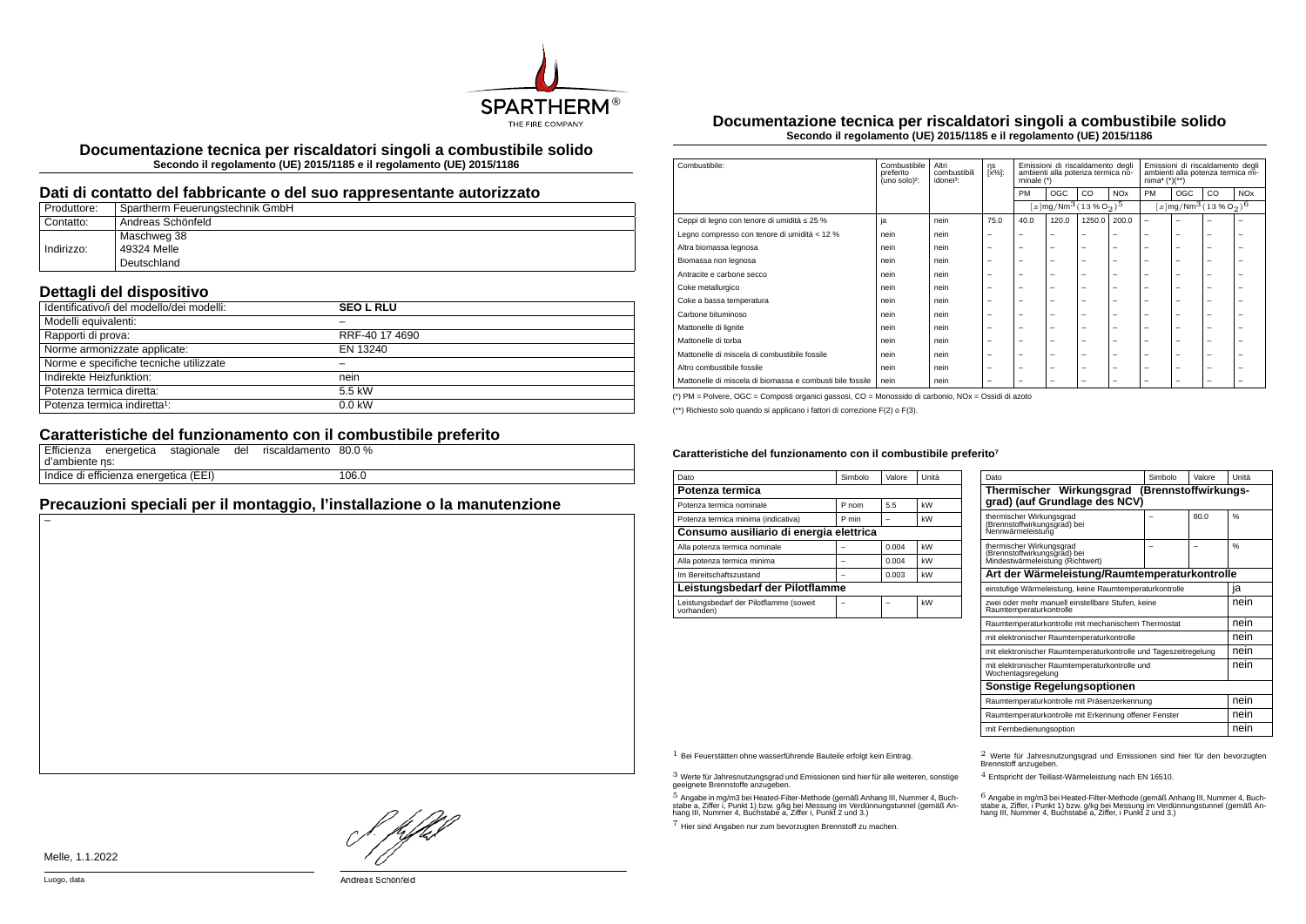

**Documentazione tecnica per riscaldatori singoli a combustibile solido Secondo il regolamento (UE) 2015/1185 e il regolamento (UE) 2015/1186**

#### **Dati di contatto del fabbricante o del suo rappresentante autorizzato**

| Produttore: | Spartherm Feuerungstechnik GmbH |
|-------------|---------------------------------|
| Contatto:   | Andreas Schönfeld               |
|             | Maschweg 38                     |
| Indirizzo:  | 49324 Melle                     |
|             | Deutschland                     |

## **Dettagli del dispositivo**

| . .<br>Identificativo/i del modello/dei modelli: | <b>SEO L RLU</b> |
|--------------------------------------------------|------------------|
| Modelli equivalenti:                             |                  |
| Rapporti di prova:                               | RRF-40 17 4690   |
| Norme armonizzate applicate:                     | EN 13240         |
| Norme e specifiche tecniche utilizzate           |                  |
| Indirekte Heizfunktion:                          | nein             |
| Potenza termica diretta:                         | 5.5 kW           |
| Potenza termica indiretta <sup>1</sup> :         | $0.0$ kW         |

### **Caratteristiche del funzionamento con il combustibile preferito**

| d'ambiente ns: | Efficienza energetica stagionale      | del | riscaldamento 80.0 % |       |
|----------------|---------------------------------------|-----|----------------------|-------|
|                | Indice di efficienza energetica (EEI) |     |                      | 106.0 |

# **Precauzioni speciali per il montaggio, l'installazione o la manutenzione**

**Documentazione tecnica per riscaldatori singoli a combustibile solido Secondo il regolamento (UE) 2015/1185 e il regolamento (UE) 2015/1186**

| Combustibile:                                             | Combustibile<br>preferito<br>(uno solo) <sup>2</sup> : | Altri<br>combustibili<br>idonei <sup>3</sup> : | ηs<br>[x%]:              | Emissioni di riscaldamento degli<br>ambienti alla potenza termica no-<br>minale $(*)$ |                          | Emissioni di riscaldamento degli<br>ambienti alla potenza termica mi-<br>$nima4 (*)(**)$ |                          |                                                            |                          |                          |                       |
|-----------------------------------------------------------|--------------------------------------------------------|------------------------------------------------|--------------------------|---------------------------------------------------------------------------------------|--------------------------|------------------------------------------------------------------------------------------|--------------------------|------------------------------------------------------------|--------------------------|--------------------------|-----------------------|
|                                                           |                                                        |                                                |                          | <b>PM</b>                                                                             | <b>OGC</b>               | CO                                                                                       | <b>NO<sub>x</sub></b>    | PM                                                         | OGC                      | CO                       | <b>NO<sub>x</sub></b> |
|                                                           |                                                        |                                                |                          |                                                                                       |                          | $[x]$ mg/Nm <sup>3</sup> $(13\%$ O <sub>2</sub> ) <sup>5</sup>                           |                          | $[x \, \text{mg}/\text{Nm}^3 \, (13 \, \%\, \text{O}_2)^6$ |                          |                          |                       |
| Ceppi di legno con tenore di umidità ≤ 25 %               | ja                                                     | nein                                           | 75.0                     | 40.0                                                                                  | 120.0                    | 1250.0                                                                                   | 200.0                    | $\overline{\phantom{0}}$                                   | $\overline{\phantom{0}}$ | -                        |                       |
| Legno compresso con tenore di umidità < 12 %              | nein                                                   | nein                                           | $\overline{\phantom{m}}$ | $\overline{\phantom{a}}$                                                              | $\overline{\phantom{a}}$ | -                                                                                        | -                        | -                                                          | $\overline{\phantom{0}}$ | $\overline{\phantom{0}}$ | -                     |
| Altra biomassa legnosa                                    | nein                                                   | nein                                           | $\overline{\phantom{0}}$ | $\overline{\phantom{0}}$                                                              | $\overline{\phantom{0}}$ | -                                                                                        | -                        | $\overline{\phantom{a}}$                                   | $\overline{\phantom{0}}$ | -                        | -                     |
| Biomassa non legnosa                                      | nein                                                   | nein                                           | $\overline{\phantom{0}}$ | $\overline{\phantom{0}}$                                                              | $\overline{\phantom{0}}$ | -                                                                                        | -                        | $\overline{\phantom{a}}$                                   | $\overline{\phantom{0}}$ | -                        | -                     |
| Antracite e carbone secco                                 | nein                                                   | nein                                           | $\overline{\phantom{0}}$ | $\overline{\phantom{0}}$                                                              | $\overline{\phantom{a}}$ | -                                                                                        | -                        | $\overline{\phantom{a}}$                                   | -                        | -                        | -                     |
| Coke metallurgico                                         | nein                                                   | nein                                           | $\overline{\phantom{0}}$ | $\overline{\phantom{0}}$                                                              | $\overline{\phantom{0}}$ | -                                                                                        | -                        | $\overline{\phantom{a}}$                                   | $\overline{\phantom{0}}$ | -                        | -                     |
| Coke a bassa temperatura                                  | nein                                                   | nein                                           | $\overline{\phantom{0}}$ | $\overline{\phantom{0}}$                                                              | $\overline{\phantom{a}}$ | -                                                                                        | -                        | -                                                          | -                        | -                        |                       |
| Carbone bituminoso                                        | nein                                                   | nein                                           | -                        | -                                                                                     | $\overline{\phantom{a}}$ | -                                                                                        | -                        | -                                                          | $\overline{\phantom{0}}$ | ۰                        |                       |
| Mattonelle di lignite                                     | nein                                                   | nein                                           | $\overline{\phantom{0}}$ | $\overline{\phantom{a}}$                                                              | $\overline{\phantom{a}}$ | -                                                                                        | -                        | -                                                          | -                        | -                        |                       |
| Mattonelle di torba                                       | nein                                                   | nein                                           | $\overline{\phantom{0}}$ | $\overline{\phantom{0}}$                                                              | $\overline{\phantom{a}}$ | -                                                                                        | -                        | -                                                          | $\overline{\phantom{0}}$ | -                        |                       |
| Mattonelle di miscela di combustibile fossile             | nein                                                   | nein                                           | $\overline{\phantom{0}}$ | $\overline{\phantom{0}}$                                                              | $\overline{\phantom{0}}$ | -                                                                                        | -                        | $\overline{\phantom{a}}$                                   | $\overline{\phantom{0}}$ | -                        | -                     |
| Altro combustibile fossile                                | nein                                                   | nein                                           | $\overline{\phantom{0}}$ | $\overline{\phantom{0}}$                                                              | $\overline{\phantom{0}}$ | -                                                                                        | $\overline{\phantom{0}}$ | $\overline{\phantom{a}}$                                   | $\overline{\phantom{0}}$ | $\overline{\phantom{0}}$ | -                     |
| Mattonelle di miscela di biomassa e combusti bile fossile | nein                                                   | nein                                           | $\overline{\phantom{0}}$ | $\overline{\phantom{0}}$                                                              | $\overline{\phantom{0}}$ | -                                                                                        | -                        | -                                                          | -                        | -                        |                       |

(\*) PM = Polvere, OGC = Composti organici gassosi, CO = Monossido di carbonio, NOx = Ossidi di azoto

(\*\*) Richiesto solo quando si applicano i fattori di correzione F(2) o F(3).

#### Caratteristiche del funzionamento con il combustibile preferito<sup>7</sup>

| Dato                                                  | Simbolo | Valore | Unità |  |  |
|-------------------------------------------------------|---------|--------|-------|--|--|
| Potenza termica                                       |         |        |       |  |  |
| Potenza termica nominale                              | P nom   | 5.5    | kW    |  |  |
| Potenza termica minima (indicativa)                   | P min   |        | kW    |  |  |
| Consumo ausiliario di energia elettrica               |         |        |       |  |  |
| Alla potenza termica nominale                         |         | 0.004  | kW    |  |  |
| Alla potenza termica minima                           |         | 0.004  | kW    |  |  |
| Im Bereitschaftszustand                               |         | 0.003  | kW    |  |  |
| Leistungsbedarf der Pilotflamme                       |         |        |       |  |  |
| Leistungsbedarf der Pilotflamme (soweit<br>vorhanden) |         |        | kW    |  |  |

| Dato                                                                                         | Simbolo | Valore | Unità |  |  |  |
|----------------------------------------------------------------------------------------------|---------|--------|-------|--|--|--|
| Thermischer Wirkungsgrad<br>(Brennstoffwirkungs-<br>grad) (auf Grundlage des NCV)            |         |        |       |  |  |  |
| thermischer Wirkungsgrad<br>(Brennstoffwirkungsgrad) bei<br>Nennwärmeleistung                |         | 80.0   | %     |  |  |  |
| thermischer Wirkungsgrad<br>(Brennstoffwirkungsgrad) bei<br>Mindestwärmeleistung (Richtwert) |         |        | %     |  |  |  |
| Art der Wärmeleistung/Raumtemperaturkontrolle                                                |         |        |       |  |  |  |
| einstufige Wärmeleistung, keine Raumtemperaturkontrolle                                      |         |        | ia    |  |  |  |
| zwei oder mehr manuell einstellbare Stufen, keine<br>Raumtemperaturkontrolle                 |         |        | nein  |  |  |  |
| Raumtemperaturkontrolle mit mechanischem Thermostat                                          |         |        | nein  |  |  |  |
| mit elektronischer Raumtemperaturkontrolle                                                   |         |        | nein  |  |  |  |
| mit elektronischer Raumtemperaturkontrolle und Tageszeitregelung                             |         |        | nein  |  |  |  |
| mit elektronischer Raumtemperaturkontrolle und<br>Wochentagsregelung                         |         |        |       |  |  |  |
| <b>Sonstige Regelungsoptionen</b>                                                            |         |        |       |  |  |  |
| Raumtemperaturkontrolle mit Präsenzerkennung                                                 |         |        | nein  |  |  |  |
| Raumtemperaturkontrolle mit Erkennung offener Fenster                                        |         |        |       |  |  |  |
| mit Fernbedienungsoption                                                                     |         |        |       |  |  |  |

3 Werte für Jahresnutzungsgrad und Emissionen sind hier für alle weiteren, sonstige geeignete Brennstoffe anzugeben.

.<br>5 Angabe in mg/m3 bei Heated-Filter-Methode (gemäß Anhang III, Nummer 4, Buch-<br>stabe a, Ziffer i, Punkt 1) bzw. g/kg bei Nessung im Verdünnungstunnel (gemäß An-<br>hang III, Nummer 4, Buchstabe a, Ziffer i, Punkt 2 und 3.)

7 Hier sind Angaben nur zum bevorzugten Brennstoff zu machen.

1 Bei Feuerstätten ohne wasserführende Bauteile erfolgt kein Eintrag. 2 Werte für Jahresnutzungsgrad und Emissionen sind hier für den bevorzugten Brennstoff anzugeben.

4 Entspricht der Teillast-Wärmeleistung nach EN 16510.

.<br>stabe a, Ziffer, i Punkt 1) bzw. g/kg bei Messung im Verdünnungstunnel (gemäß An-<br>hang III, Nummer 4, Buchstabe a, Ziffer, i Punkt 2 und 3.)<br>hang III, Nummer 4, Buchstabe a, Ziffer, i Punkt 2 und 3.)

hDel